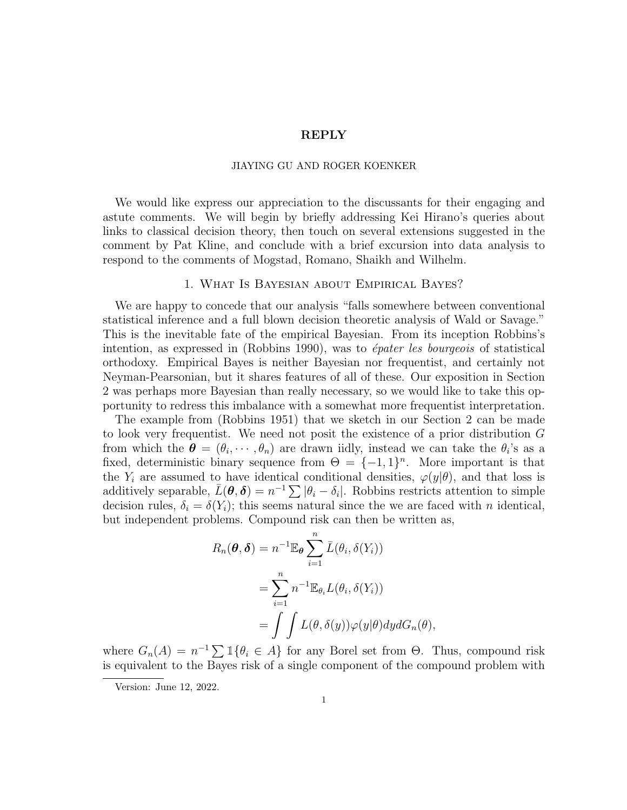# REPLY

### JIAYING GU AND ROGER KOENKER

We would like express our appreciation to the discussants for their engaging and astute comments. We will begin by briefly addressing Kei Hirano's queries about links to classical decision theory, then touch on several extensions suggested in the comment by Pat Kline, and conclude with a brief excursion into data analysis to respond to the comments of Mogstad, Romano, Shaikh and Wilhelm.

# 1. What Is Bayesian about Empirical Bayes?

We are happy to concede that our analysis "falls somewhere between conventional statistical inference and a full blown decision theoretic analysis of Wald or Savage." This is the inevitable fate of the empirical Bayesian. From its inception Robbins's intention, as expressed in  $(Robbins 1990)$ , was to *épater les bourgeois* of statistical orthodoxy. Empirical Bayes is neither Bayesian nor frequentist, and certainly not Neyman-Pearsonian, but it shares features of all of these. Our exposition in Section 2 was perhaps more Bayesian than really necessary, so we would like to take this opportunity to redress this imbalance with a somewhat more frequentist interpretation.

The example from (Robbins 1951) that we sketch in our Section 2 can be made to look very frequentist. We need not posit the existence of a prior distribution G from which the  $\boldsymbol{\theta} = (\theta_i, \dots, \theta_n)$  are drawn iidly, instead we can take the  $\theta_i$ 's as a fixed, deterministic binary sequence from  $\Theta = \{-1,1\}^n$ . More important is that the  $Y_i$  are assumed to have identical conditional densities,  $\varphi(y|\theta)$ , and that loss is additively separable,  $\bar{L}(\theta, \delta) = n^{-1} \sum |\theta_i - \delta_i|$ . Robbins restricts attention to simple decision rules,  $\delta_i = \delta(Y_i)$ ; this seems natural since the we are faced with *n* identical, but independent problems. Compound risk can then be written as,

$$
R_n(\boldsymbol{\theta}, \boldsymbol{\delta}) = n^{-1} \mathbb{E}_{\boldsymbol{\theta}} \sum_{i=1}^n \bar{L}(\theta_i, \delta(Y_i))
$$
  
= 
$$
\sum_{i=1}^n n^{-1} \mathbb{E}_{\theta_i} L(\theta_i, \delta(Y_i))
$$
  
= 
$$
\int \int L(\theta, \delta(y)) \varphi(y | \theta) dy dG_n(\theta),
$$

where  $G_n(A) = n^{-1} \sum \mathbb{1} \{ \theta_i \in A \}$  for any Borel set from  $\Theta$ . Thus, compound risk is equivalent to the Bayes risk of a single component of the compound problem with

Version: June 12, 2022.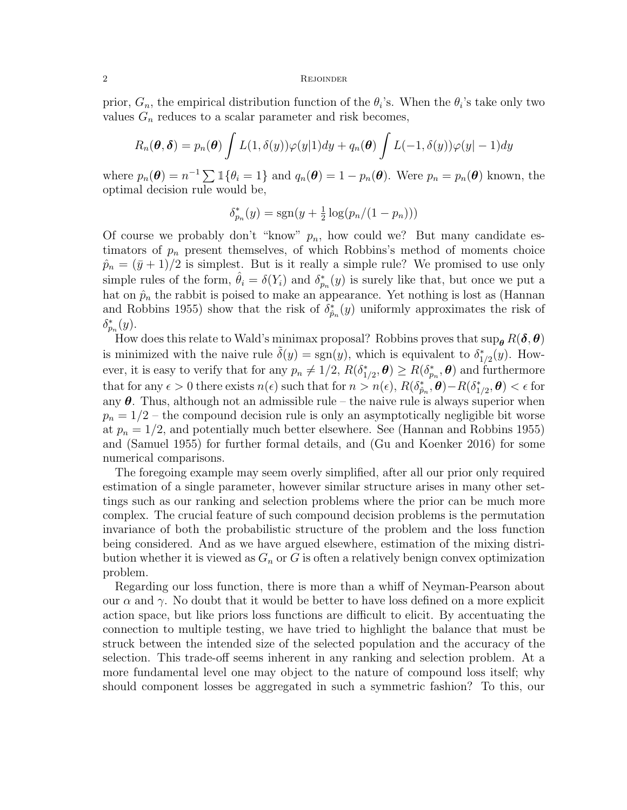### 2 REJOINDER

prior,  $G_n$ , the empirical distribution function of the  $\theta_i$ 's. When the  $\theta_i$ 's take only two values  $G_n$  reduces to a scalar parameter and risk becomes,

$$
R_n(\boldsymbol{\theta}, \boldsymbol{\delta}) = p_n(\boldsymbol{\theta}) \int L(1, \delta(y)) \varphi(y|1) dy + q_n(\boldsymbol{\theta}) \int L(-1, \delta(y)) \varphi(y| - 1) dy
$$

where  $p_n(\theta) = n^{-1} \sum \mathbb{1} {\theta_i = 1}$  and  $q_n(\theta) = 1 - p_n(\theta)$ . Were  $p_n = p_n(\theta)$  known, the optimal decision rule would be,

$$
\delta_{p_n}^*(y) = \text{sgn}(y + \frac{1}{2}\log(p_n/(1 - p_n)))
$$

Of course we probably don't "know"  $p_n$ , how could we? But many candidate estimators of  $p_n$  present themselves, of which Robbins's method of moments choice  $\hat{p}_n = (\bar{y} + 1)/2$  is simplest. But is it really a simple rule? We promised to use only simple rules of the form,  $\hat{\theta}_i = \delta(Y_i)$  and  $\delta_{p_n}^*(y)$  is surely like that, but once we put a hat on  $\hat{p}_n$  the rabbit is poised to make an appearance. Yet nothing is lost as (Hannan and Robbins 1955) show that the risk of  $\delta_{\hat{p}_n}^*(y)$  uniformly approximates the risk of  $\delta_{p_n}^*(y)$ .

How does this relate to Wald's minimax proposal? Robbins proves that  $\sup_{\theta} R(\delta, \theta)$ is minimized with the naive rule  $\tilde{\delta}(y) = sgn(y)$ , which is equivalent to  $\delta^*_{1/2}(y)$ . However, it is easy to verify that for any  $p_n \neq 1/2$ ,  $R(\delta_{1/2}^*, \theta) \geq R(\delta_{p_n}^*, \theta)$  and furthermore that for any  $\epsilon > 0$  there exists  $n(\epsilon)$  such that for  $n > n(\epsilon)$ ,  $R(\delta_{\hat{p}_n}^*, \theta) - R(\delta_{1/2}^*, \theta) < \epsilon$  for any  $\theta$ . Thus, although not an admissible rule – the naive rule is always superior when  $p_n = 1/2$  – the compound decision rule is only an asymptotically negligible bit worse at  $p_n = 1/2$ , and potentially much better elsewhere. See (Hannan and Robbins 1955) and (Samuel 1955) for further formal details, and (Gu and Koenker 2016) for some numerical comparisons.

The foregoing example may seem overly simplified, after all our prior only required estimation of a single parameter, however similar structure arises in many other settings such as our ranking and selection problems where the prior can be much more complex. The crucial feature of such compound decision problems is the permutation invariance of both the probabilistic structure of the problem and the loss function being considered. And as we have argued elsewhere, estimation of the mixing distribution whether it is viewed as  $G_n$  or G is often a relatively benign convex optimization problem.

Regarding our loss function, there is more than a whiff of Neyman-Pearson about our  $\alpha$  and  $\gamma$ . No doubt that it would be better to have loss defined on a more explicit action space, but like priors loss functions are difficult to elicit. By accentuating the connection to multiple testing, we have tried to highlight the balance that must be struck between the intended size of the selected population and the accuracy of the selection. This trade-off seems inherent in any ranking and selection problem. At a more fundamental level one may object to the nature of compound loss itself; why should component losses be aggregated in such a symmetric fashion? To this, our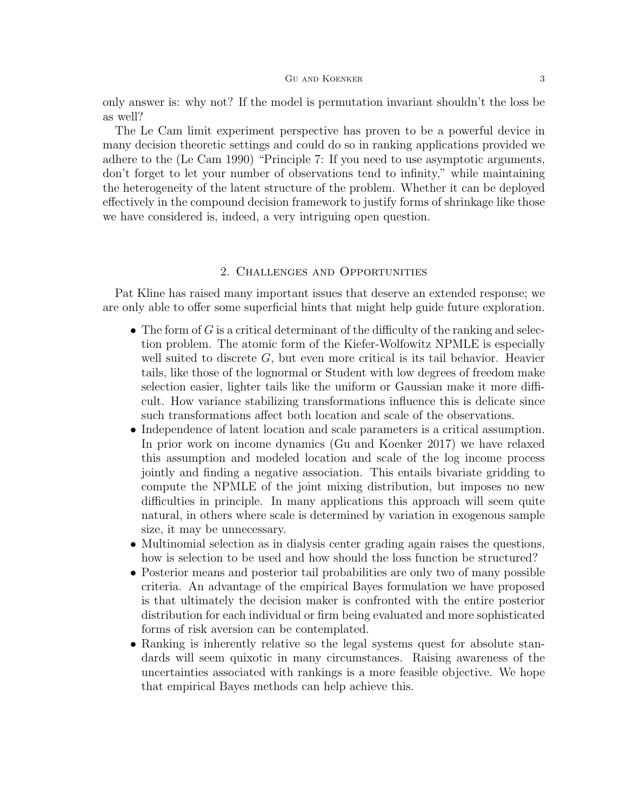only answer is: why not? If the model is permutation invariant shouldn't the loss be as well?

The Le Cam limit experiment perspective has proven to be a powerful device in many decision theoretic settings and could do so in ranking applications provided we adhere to the (Le Cam 1990) "Principle 7: If you need to use asymptotic arguments, don't forget to let your number of observations tend to infinity," while maintaining the heterogeneity of the latent structure of the problem. Whether it can be deployed effectively in the compound decision framework to justify forms of shrinkage like those we have considered is, indeed, a very intriguing open question.

# 2. Challenges and Opportunities

Pat Kline has raised many important issues that deserve an extended response; we are only able to offer some superficial hints that might help guide future exploration.

- The form of  $G$  is a critical determinant of the difficulty of the ranking and selection problem. The atomic form of the Kiefer-Wolfowitz NPMLE is especially well suited to discrete  $G$ , but even more critical is its tail behavior. Heavier tails, like those of the lognormal or Student with low degrees of freedom make selection easier, lighter tails like the uniform or Gaussian make it more difficult. How variance stabilizing transformations influence this is delicate since such transformations affect both location and scale of the observations.
- Independence of latent location and scale parameters is a critical assumption. In prior work on income dynamics (Gu and Koenker 2017) we have relaxed this assumption and modeled location and scale of the log income process jointly and finding a negative association. This entails bivariate gridding to compute the NPMLE of the joint mixing distribution, but imposes no new difficulties in principle. In many applications this approach will seem quite natural, in others where scale is determined by variation in exogenous sample size, it may be unnecessary.
- Multinomial selection as in dialysis center grading again raises the questions, how is selection to be used and how should the loss function be structured?
- Posterior means and posterior tail probabilities are only two of many possible criteria. An advantage of the empirical Bayes formulation we have proposed is that ultimately the decision maker is confronted with the entire posterior distribution for each individual or firm being evaluated and more sophisticated forms of risk aversion can be contemplated.
- Ranking is inherently relative so the legal systems quest for absolute standards will seem quixotic in many circumstances. Raising awareness of the uncertainties associated with rankings is a more feasible objective. We hope that empirical Bayes methods can help achieve this.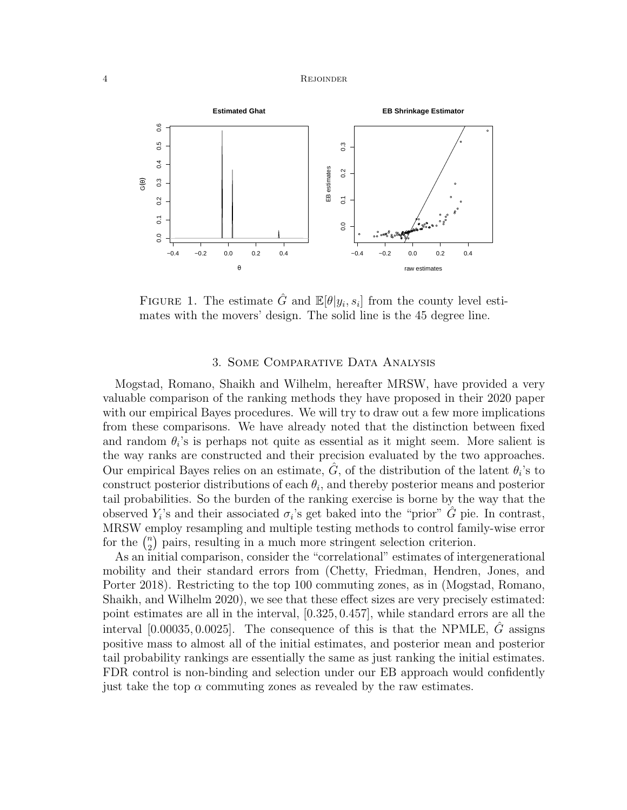#### 4 REJOINDER



FIGURE 1. The estimate  $\hat{G}$  and  $\mathbb{E}[\theta|y_i, s_i]$  from the county level estimates with the movers' design. The solid line is the 45 degree line.

# 3. Some Comparative Data Analysis

Mogstad, Romano, Shaikh and Wilhelm, hereafter MRSW, have provided a very valuable comparison of the ranking methods they have proposed in their 2020 paper with our empirical Bayes procedures. We will try to draw out a few more implications from these comparisons. We have already noted that the distinction between fixed and random  $\theta_i$ 's is perhaps not quite as essential as it might seem. More salient is the way ranks are constructed and their precision evaluated by the two approaches. Our empirical Bayes relies on an estimate,  $\hat{G}$ , of the distribution of the latent  $\theta_i$ 's to construct posterior distributions of each  $\theta_i$ , and thereby posterior means and posterior tail probabilities. So the burden of the ranking exercise is borne by the way that the observed  $Y_i$ 's and their associated  $\sigma_i$ 's get baked into the "prior"  $\hat{G}$  pie. In contrast, MRSW employ resampling and multiple testing methods to control family-wise error for the  $\binom{n}{2}$  $n<sub>2</sub>$ ) pairs, resulting in a much more stringent selection criterion.

As an initial comparison, consider the "correlational" estimates of intergenerational mobility and their standard errors from (Chetty, Friedman, Hendren, Jones, and Porter 2018). Restricting to the top 100 commuting zones, as in (Mogstad, Romano, Shaikh, and Wilhelm 2020), we see that these effect sizes are very precisely estimated: point estimates are all in the interval, [0.325, 0.457], while standard errors are all the interval  $[0.00035, 0.0025]$ . The consequence of this is that the NPMLE, G assigns positive mass to almost all of the initial estimates, and posterior mean and posterior tail probability rankings are essentially the same as just ranking the initial estimates. FDR control is non-binding and selection under our EB approach would confidently just take the top  $\alpha$  commuting zones as revealed by the raw estimates.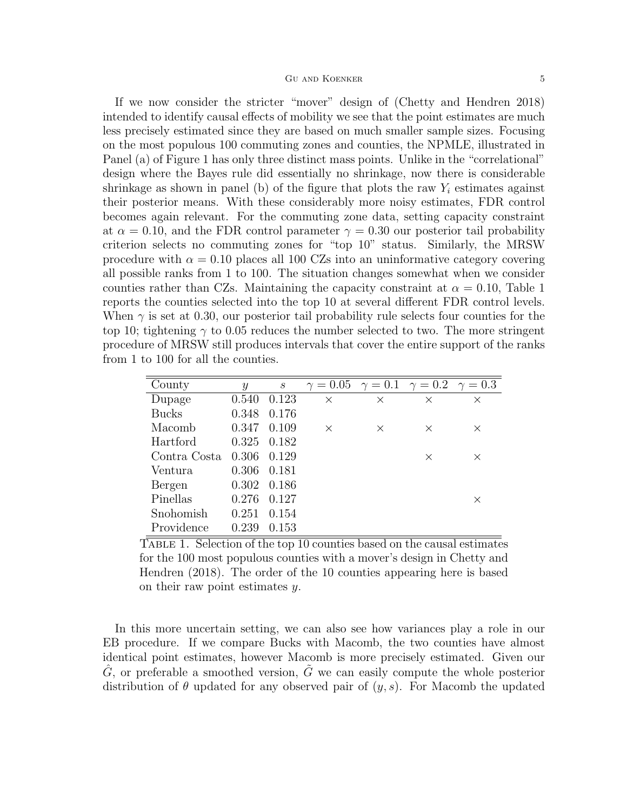If we now consider the stricter "mover" design of (Chetty and Hendren 2018) intended to identify causal effects of mobility we see that the point estimates are much less precisely estimated since they are based on much smaller sample sizes. Focusing on the most populous 100 commuting zones and counties, the NPMLE, illustrated in Panel (a) of Figure 1 has only three distinct mass points. Unlike in the "correlational" design where the Bayes rule did essentially no shrinkage, now there is considerable shrinkage as shown in panel (b) of the figure that plots the raw  $Y_i$  estimates against their posterior means. With these considerably more noisy estimates, FDR control becomes again relevant. For the commuting zone data, setting capacity constraint at  $\alpha = 0.10$ , and the FDR control parameter  $\gamma = 0.30$  our posterior tail probability criterion selects no commuting zones for "top 10" status. Similarly, the MRSW procedure with  $\alpha = 0.10$  places all 100 CZs into an uninformative category covering all possible ranks from 1 to 100. The situation changes somewhat when we consider counties rather than CZs. Maintaining the capacity constraint at  $\alpha = 0.10$ , Table 1 reports the counties selected into the top 10 at several different FDR control levels. When  $\gamma$  is set at 0.30, our posterior tail probability rule selects four counties for the top 10; tightening  $\gamma$  to 0.05 reduces the number selected to two. The more stringent procedure of MRSW still produces intervals that cover the entire support of the ranks from 1 to 100 for all the counties.

| County       | $\mathcal{Y}$ | $\mathcal{S}_{0}$ | $\gamma = 0.05$ $\gamma = 0.1$ $\gamma = 0.2$ $\gamma = 0.3$ |          |          |          |
|--------------|---------------|-------------------|--------------------------------------------------------------|----------|----------|----------|
| Dupage       | 0.540         | 0.123             | $\times$                                                     | $\times$ | $\times$ | X        |
| <b>Bucks</b> | 0.348         | 0.176             |                                                              |          |          |          |
| Macomb       | 0.347         | 0.109             | $\times$                                                     | X        | $\times$ | $\times$ |
| Hartford     | 0.325         | 0.182             |                                                              |          |          |          |
| Contra Costa | 0.306         | 0.129             |                                                              |          | X        | $\times$ |
| Ventura      | 0.306         | 0.181             |                                                              |          |          |          |
| Bergen       | 0.302         | 0.186             |                                                              |          |          |          |
| Pinellas     | 0.276         | 0.127             |                                                              |          |          | $\times$ |
| Snohomish    | 0.251         | 0.154             |                                                              |          |          |          |
| Providence   | 0.239         | 0.153             |                                                              |          |          |          |

Table 1. Selection of the top 10 counties based on the causal estimates for the 100 most populous counties with a mover's design in Chetty and Hendren (2018). The order of the 10 counties appearing here is based on their raw point estimates y.

In this more uncertain setting, we can also see how variances play a role in our EB procedure. If we compare Bucks with Macomb, the two counties have almost identical point estimates, however Macomb is more precisely estimated. Given our  $\hat{G}$ , or preferable a smoothed version,  $\tilde{G}$  we can easily compute the whole posterior distribution of  $\theta$  updated for any observed pair of  $(y, s)$ . For Macomb the updated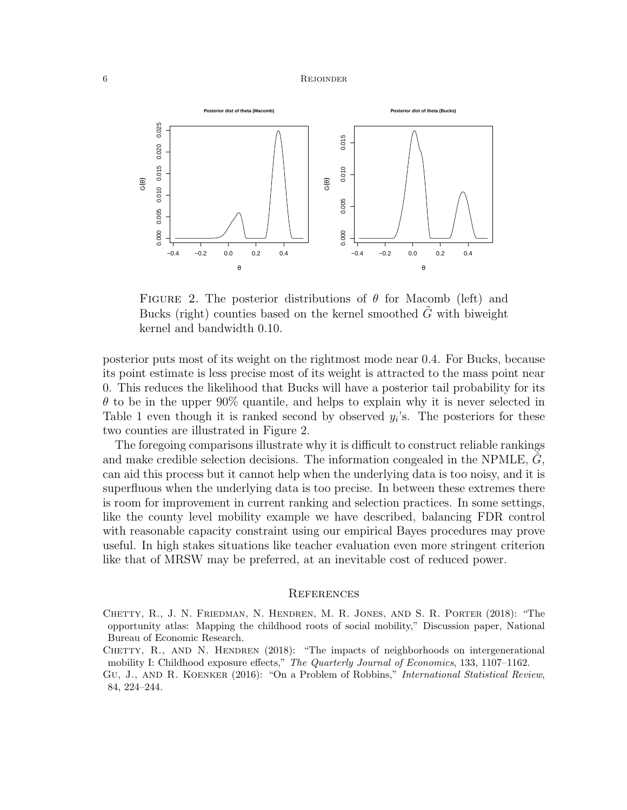### 6 REJOINDER



FIGURE 2. The posterior distributions of  $\theta$  for Macomb (left) and Bucks (right) counties based on the kernel smoothed  $G$  with biweight kernel and bandwidth 0.10.

posterior puts most of its weight on the rightmost mode near 0.4. For Bucks, because its point estimate is less precise most of its weight is attracted to the mass point near 0. This reduces the likelihood that Bucks will have a posterior tail probability for its  $\theta$  to be in the upper 90% quantile, and helps to explain why it is never selected in Table 1 even though it is ranked second by observed  $y_i$ 's. The posteriors for these two counties are illustrated in Figure 2.

The foregoing comparisons illustrate why it is difficult to construct reliable rankings and make credible selection decisions. The information congealed in the NPMLE,  $G$ , can aid this process but it cannot help when the underlying data is too noisy, and it is superfluous when the underlying data is too precise. In between these extremes there is room for improvement in current ranking and selection practices. In some settings, like the county level mobility example we have described, balancing FDR control with reasonable capacity constraint using our empirical Bayes procedures may prove useful. In high stakes situations like teacher evaluation even more stringent criterion like that of MRSW may be preferred, at an inevitable cost of reduced power.

### **REFERENCES**

Chetty, R., J. N. Friedman, N. Hendren, M. R. Jones, and S. R. Porter (2018): "The opportunity atlas: Mapping the childhood roots of social mobility," Discussion paper, National Bureau of Economic Research.

- CHETTY, R., AND N. HENDREN (2018): "The impacts of neighborhoods on intergenerational mobility I: Childhood exposure effects," The Quarterly Journal of Economics, 133, 1107–1162.
- Gu, J., and R. Koenker (2016): "On a Problem of Robbins," International Statistical Review, 84, 224–244.